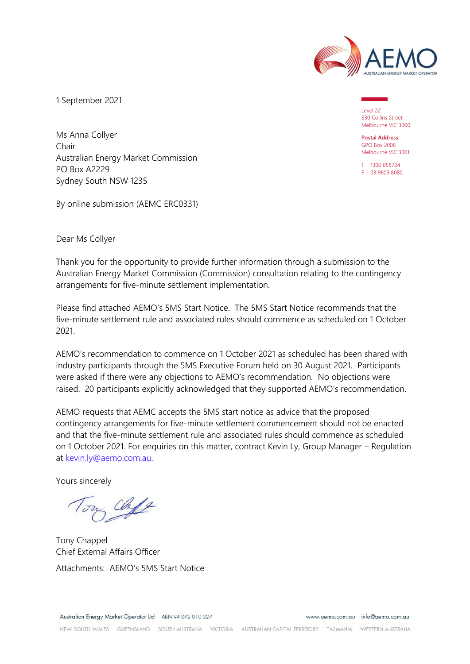

1 September 2021

Level 22 530 Collins Street Melbourne VIC 3000

**Postal Address:** GPO Box 2008 Melbourne VIC 3001

T 1300 858724 F 03 9609 8080

Ms Anna Collyer Chair Australian Energy Market Commission PO Box A2229 Sydney South NSW 1235

By online submission (AEMC ERC0331)

Dear Ms Collyer

Thank you for the opportunity to provide further information through a submission to the Australian Energy Market Commission (Commission) consultation relating to the contingency arrangements for five-minute settlement implementation.

Please find attached AEMO's 5MS Start Notice. The 5MS Start Notice recommends that the five-minute settlement rule and associated rules should commence as scheduled on 1 October 2021.

AEMO's recommendation to commence on 1 October 2021 as scheduled has been shared with industry participants through the 5MS Executive Forum held on 30 August 2021. Participants were asked if there were any objections to AEMO's recommendation. No objections were raised. 20 participants explicitly acknowledged that they supported AEMO's recommendation.

AEMO requests that AEMC accepts the 5MS start notice as advice that the proposed contingency arrangements for five-minute settlement commencement should not be enacted and that the five-minute settlement rule and associated rules should commence as scheduled on 1 October 2021. For enquiries on this matter, contract Kevin Ly, Group Manager – Regulation at [kevin.ly@aemo.com.au.](mailto:kevin.ly@aemo.com.au)

Yours sincerely

Chip

Tony Chappel Chief External Affairs Officer Attachments: AEMO's 5MS Start Notice

www.aemo.com.au info@aemo.com.au